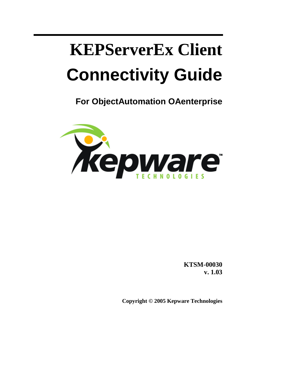# **KEPServerEx Client Connectivity Guide**

**For ObjectAutomation OAenterprise** 



**KTSM-00030 v. 1.03**

**Copyright © 2005 Kepware Technologies**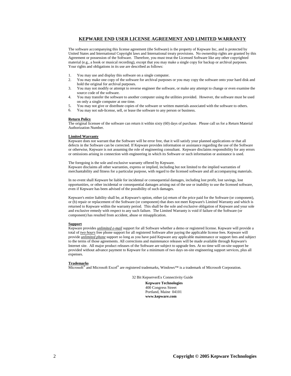### **KEPWARE END USER LICENSE AGREEMENT AND LIMITED WARRANTY**

The software accompanying this license agreement (the Software) is the property of Kepware Inc, and is protected by United States and International Copyright laws and International treaty provisions. No ownership rights are granted by this Agreement or possession of the Software. Therefore, you must treat the Licensed Software like any other copyrighted material (e.g., a book or musical recording), except that you may make a single copy for backup or archival purposes. Your rights and obligations in its use are described as follows:

- 1. You may use and display this software on a single computer.
- 2. You may make one copy of the software for archival purposes or you may copy the software onto your hard disk and hold the original for archival purposes.
- 3. You may not modify or attempt to reverse engineer the software, or make any attempt to change or even examine the source code of the software.
- 4. You may transfer the software to another computer using the utilities provided. However, the software must be used on only a single computer at one time.
- 5. You may not give or distribute copies of the software or written materials associated with the software to others.
- 6. You may not sub-license, sell, or lease the software to any person or business.

#### **Return Policy**

The original licensee of the software can return it within sixty (60) days of purchase. Please call us for a Return Material Authorization Number.

### **Limited Warranty**

Kepware does not warrant that the Software will be error free, that it will satisfy your planned applications or that all defects in the Software can be corrected. If Kepware provides information or assistance regarding the use of the Software or otherwise, Kepware is not assuming the role of engineering consultant. Kepware disclaims responsibility for any errors or omissions arising in connection with engineering in which its Software or such information or assistance is used.

The foregoing is the sole and exclusive warranty offered by Kepware. Kepware disclaims all other warranties, express or implied, including but not limited to the implied warranties of merchantability and fitness for a particular purpose, with regard to the licensed software and all accompanying materials.

In no event shall Kepware be liable for incidental or consequential damages, including lost profit, lost savings, lost opportunities, or other incidental or consequential damages arising out of the use or inability to use the licensed software, even if Kepware has been advised of the possibility of such damages.

Kepware's entire liability shall be, at Kepware's option, either (a) return of the price paid for the Software (or component), or (b) repair or replacement of the Software (or component) that does not meet Kepware's Limited Warranty and which is returned to Kepware within the warranty period. This shall be the sole and exclusive obligation of Kepware and your sole and exclusive remedy with respect to any such failure. The Limited Warranty is void if failure of the Software (or component) has resulted from accident, abuse or misapplication.

#### **Support**

Kepware provides *unlimited e-mail* support for all Software whether a demo or registered license. Kepware will provide a total of *two hours* free phone support for all registered Software after paying the applicable license fees. Kepware will provide *unlimited phone* support so long as you have paid Kepware any applicable maintenance or support fees and subject to the terms of those agreements. All corrections and maintenance releases will be made available through Kepware's Internet site. All major product releases of the Software are subject to upgrade fees. At no time will on-site support be provided without advance payment to Kepware for a minimum of two days on-site engineering support services, plus all expenses.

#### **Trademarks**

Microsoft® and Microsoft Excel® are registered trademarks, Windows™ is a trademark of Microsoft Corporation.

32 Bit KepserverEx Connectivity Guide

**Kepware Technologies**  400 Congress Street Portland, Maine 04101 **www.kepware.com**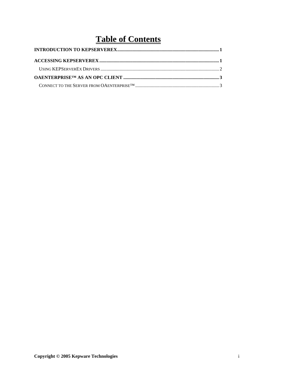### **Table of Contents**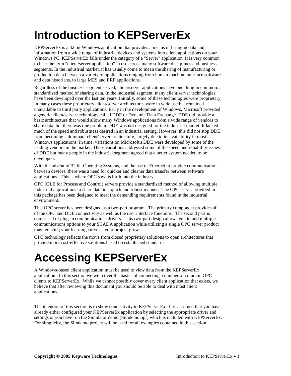# <span id="page-4-0"></span>**Introduction to KEPServerEx**

KEPServerEx is a 32 bit Windows application that provides a means of bringing data and information from a wide range of industrial devices and systems into client applications on your Windows PC. KEPServerEx falls under the category of a "Server" application. It is very common to hear the term "client/server application" in use across many software disciplines and business segments. In the industrial market, it has usually come to mean the sharing of manufacturing or production data between a variety of applications ranging from human machine interface software and data historians, to large MES and ERP applications.

Regardless of the business segment served, client/server applications have one thing in common: a standardized method of sharing data. In the industrial segment, many client/server technologies have been developed over the last ten years. Initially, some of these technologies were proprietary. In many cases these proprietary client/server architectures were in wide use but remained unavailable to third party applications. Early in the development of Windows, Microsoft provided a generic client/server technology called DDE or Dynamic Data Exchange. DDE did provide a basic architecture that would allow many Windows applications from a wide range of vendors to share data, but there was one problem. DDE was not designed for the industrial market. It lacked much of the speed and robustness desired in an industrial setting. However, this did not stop DDE from becoming a dominant client/server architecture, largely due to its availability in most Windows applications. In time, variations on Microsoft's DDE were developed by some of the leading vendors in the market. These variations addressed some of the speed and reliability issues of DDE but many people in the industrial segment agreed that a better system needed to be developed.

With the advent of 32 bit Operating Systems, and the use of Ethernet to provide communications between devices, there was a need for quicker and cleaner data transfer between software applications. This is where OPC saw its birth into the industry.

OPC (OLE for Process and Control) servers provide a standardized method of allowing multiple industrial applications to share data in a quick and robust manner. The OPC server provided in this package has been designed to meet the demanding requirements found in the industrial environment.

This OPC server has been designed as a two-part program. The primary component provides all of the OPC and DDE connectivity as well as the user interface functions. The second part is comprised of plug-in communications drivers. This two-part design allows you to add multiple communications options to your SCADA application while utilizing a single OPC server product thus reducing your learning curve as your project grows.

OPC technology reflects the move from closed proprietary solutions to open architectures that provide more cost-effective solutions based on established standards.

# **Accessing KEPServerEx**

A Windows-based client application must be used to view data from the KEPServerEx application. In this section we will cover the basics of connecting a number of common OPC clients to KEPServerEx. While we cannot possibly cover every client application that exists, we believe that after reviewing this document you should be able to deal with most client applications.

The intention of this section is to show connectivity to KEPServerEx. It is assumed that you have already either configured your KEPServerEx application by selecting the appropriate driver and settings or you have run the Simulator demo (Simdemo.opf) which is included with KEPServerEx. For simplicity, the Simdemo project will be used for all examples contained in this section.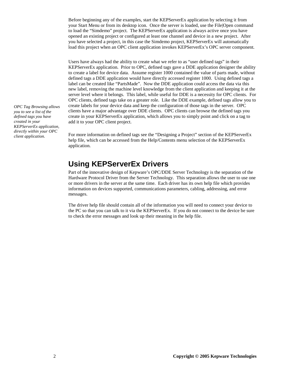<span id="page-5-0"></span>Before beginning any of the examples, start the KEPServerEx application by selecting it from your Start Menu or from its desktop icon. Once the server is loaded, use the File|Open command to load the "Simdemo" project. The KEPServerEx application is always active once you have opened an existing project or configured at least one channel and device in a new project. After you have selected a project, in this case the Simdemo project, KEPServerEx will automatically load this project when an OPC client application invokes KEPServerEx's OPC server component.

Users have always had the ability to create what we refer to as "user defined tags" in their KEPServerEx application. Prior to OPC, defined tags gave a DDE application designer the ability to create a label for device data. Assume register 1000 contained the value of parts made, without defined tags a DDE application would have directly accessed register 1000. Using defined tags a label can be created like "PartsMade". Now the DDE application could access the data via this new label, removing the machine level knowledge from the client application and keeping it at the server level where it belongs. This label, while useful for DDE is a necessity for OPC clients. For OPC clients, defined tags take on a greater role. Like the DDE example, defined tags allow you to create labels for your device data and keep the configuration of those tags in the server. OPC clients have a major advantage over DDE clients. OPC clients can browse the defined tags you create in your KEPServerEx application, which allows you to simply point and click on a tag to add it to your OPC client project.

*client application.* For more information on defined tags see the "Designing a Project" section of the KEPServerEx help file, which can be accessed from the Help/Contents menu selection of the KEPServerEx application.

### **Using KEPServerEx Drivers**

Part of the innovative design of Kepware's OPC/DDE Server Technology is the separation of the Hardware Protocol Driver from the Server Technology. This separation allows the user to use one or more drivers in the server at the same time. Each driver has its own help file which provides information on devices supported, communications parameters, cabling, addressing, and error messages.

The driver help file should contain all of the information you will need to connect your device to the PC so that you can talk to it via the KEPServerEx. If you do not connect to the device be sure to check the error messages and look up their meaning in the help file.

*OPC Tag Browsing allows you to see a list of the defined tags you have created in your KEPServerEx application, directly within your OPC*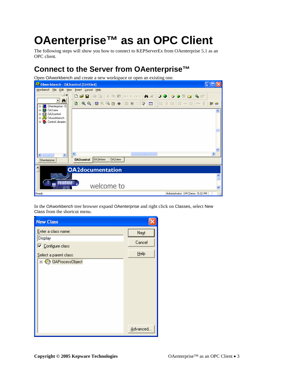# <span id="page-6-0"></span>**OAenterprise™ as an OPC Client**

The following steps will show you how to connect to KEPServerEx from OAenterprise 5.1 as an OPC client.

### **Connect to the Server from OAenterprise™**

Open OAworkbench and create a new workspace or open an existing one.



In the OAworkbench tree browser expand OAenterprise and right click on Classes, select New Class from the shortcut menu.

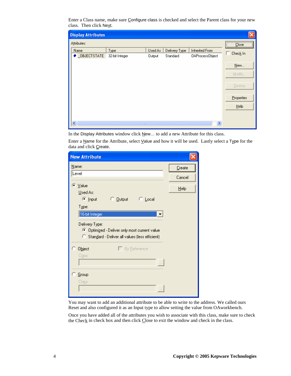Enter a Class name, make sure Configure class is checked and select the Parent class for your new class. Then click Next.

| <b>Display Attributes</b> |                        |                   |                           |                                                 |                                                                        |
|---------------------------|------------------------|-------------------|---------------------------|-------------------------------------------------|------------------------------------------------------------------------|
| Attributes:               |                        |                   |                           |                                                 | $\begin{array}{ c c c }\hline \textbf{Close} & \textbf{[} \end{array}$ |
| Name<br>OBJECTSTATE       | Type<br>32-bit Integer | Used As<br>Output | Delivery Type<br>Standard | <b>Inherited From</b><br><b>OAProcessObject</b> | Check In                                                               |
|                           |                        |                   |                           |                                                 | $N$ ew                                                                 |
|                           |                        |                   |                           |                                                 | Modify                                                                 |
|                           |                        |                   |                           |                                                 | Destroy                                                                |
|                           |                        |                   |                           |                                                 | Properties                                                             |
|                           |                        |                   |                           |                                                 | He                                                                     |
|                           |                        |                   |                           |                                                 |                                                                        |
| $\blacktriangleleft$      | $\rm{III}$             |                   |                           | ×                                               |                                                                        |

In the Display Attributes window click New... to add a new Attribute for this class.

Enter a Name for the Attribute, select Value and how it will be used. Lastly select a Type for the data and click Create.

| <b>New Attribute</b>                                                                              |        |
|---------------------------------------------------------------------------------------------------|--------|
| Name:                                                                                             | Create |
| Level                                                                                             | Cancel |
| C Value                                                                                           | Help   |
| Used As:                                                                                          |        |
| © Input<br>C Output<br>$\subseteq$ Local                                                          |        |
| Type:                                                                                             |        |
| 16-bit Integer                                                                                    |        |
| Delivery Type:                                                                                    |        |
| C Optimized - Deliver only most current value<br>C Standard - Deliver all values (less efficient) |        |
| $\Box$ By Reference<br><b>Object</b>                                                              |        |
| Class:                                                                                            |        |
|                                                                                                   |        |
| Group                                                                                             |        |
| Class:                                                                                            |        |
|                                                                                                   |        |
|                                                                                                   |        |

You may want to add an additional attribute to be able to write to the address. We called ours Reset and also configured it as an Input type to allow setting the value from OAworkbench.

Once you have added all of the attributes you wish to associate with this class, make sure to check the Check in check box and then click  $C$ lose to exit the window and check in the class.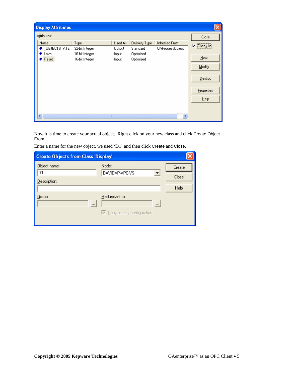| <b>Display Attributes</b>              |                                                            |                                     |                                                     |                                          |                                                                           |
|----------------------------------------|------------------------------------------------------------|-------------------------------------|-----------------------------------------------------|------------------------------------------|---------------------------------------------------------------------------|
| Attributes:                            |                                                            |                                     |                                                     |                                          | Close                                                                     |
| Name<br>_OBJECTSTATE<br>Level<br>Reset | Type<br>32-bit Integer<br>16-bit Integer<br>16-bit Integer | Used As<br>Output<br>Input<br>Input | Delivery Type<br>Standard<br>Optimized<br>Optimized | Inherited From<br><b>OAProcessObject</b> | ⊽<br>Check In<br>New<br>Modify<br>$D$ estroy<br><b>Properties</b><br>Help |
| $\left\vert \cdot \right\rangle$       | <b>IIII</b>                                                |                                     |                                                     | ×                                        |                                                                           |

Now it is time to create your actual object. Right click on your new class and click Create Object From.

Enter a name for the new object, we used 'D1' and then click Create and Close.

| <b>Create Objects from Class 'Display'</b> |                                                                  |        |
|--------------------------------------------|------------------------------------------------------------------|--------|
| Object name:                               | Node:                                                            | Create |
| D1                                         | DAVIDXP-VPC-VS                                                   | Close  |
| Description:                               |                                                                  | Help   |
| Group:<br>$\cdots$                         | Redundant to:<br>$\cdots$<br>$\nabla$ Copy primary configuration |        |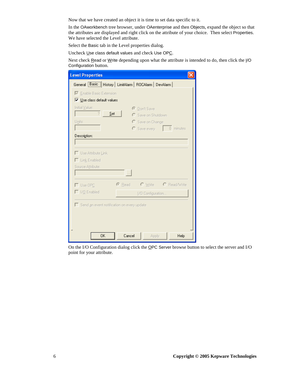Now that we have created an object it is time to set data specific to it.

In the OAworkbench tree browser, under OAenterprise and then Objects, expand the object so that the attributes are displayed and right click on the attribute of your choice. Then select Properties. We have selected the Level attribute.

Select the Basic tab in the Level properties dialog.

Uncheck Use class default values and check Use OPC.

Next check Read or Write depending upon what the attribute is intended to do, then click the I/O Configuration button.

| <b>Level Properties</b>                    |                                                                    |
|--------------------------------------------|--------------------------------------------------------------------|
|                                            | General <b>[Basic   History   LimitAlarm   ROCAlarm   DevAlarm</b> |
| <b>▽</b> Enable Basic Extension            |                                                                    |
| V Use class default values                 |                                                                    |
| Initial Value:<br>2<br>Set                 | C Don't Save<br>C Save on Shutdown                                 |
| Units:                                     | C Save on Change                                                   |
|                                            | 0 minutes<br>$\bigcirc$ Save every                                 |
| Description:                               |                                                                    |
|                                            |                                                                    |
| $\Box$ Use Attribute Link                  |                                                                    |
| $\Box$ Link Enabled                        |                                                                    |
| Source Attribute:                          |                                                                    |
|                                            | $\ldots$                                                           |
| $\Box$ Use OPC                             | $\odot$ Read<br>$\subset$ Write<br>C Read/Write                    |
| $\Box$ I/O Enabled                         | [/O Configuration                                                  |
| Send an event notification on every update |                                                                    |
|                                            |                                                                    |
|                                            |                                                                    |
|                                            |                                                                    |
| 0K                                         | Cancel<br>Apply<br>Help                                            |

On the I/O Configuration dialog click the OPC Server browse button to select the server and I/O point for your attribute.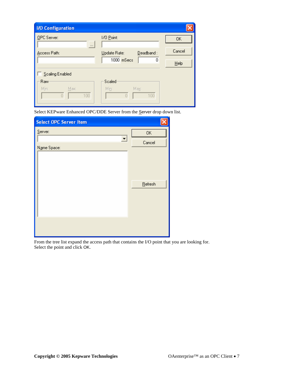| <b>I/O Configuration</b> |                           |        |
|--------------------------|---------------------------|--------|
| OPC Server:<br>$\cdots$  | 1/0 Point:                | 0K     |
| Access Path:             | Deadband:<br>Update Rate: | Cancel |
|                          | $1000$ mSecs<br>0         | Help   |
| Scaling Enabled          |                           |        |
| Raw                      | Scaled                    |        |
| Min:<br>Max:<br>100<br>n | Min:<br>Max:<br>100<br>ñ  |        |

Select KEPware Enhanced OPC/DDE Server from the Server drop down list.

| <b>Select OPC Server Item</b> |            |
|-------------------------------|------------|
| Server:                       | 0K         |
| Name Space:                   | Cancel     |
|                               | $B$ efresh |
|                               |            |

From the tree list expand the access path that contains the I/O point that you are looking for. Select the point and click OK.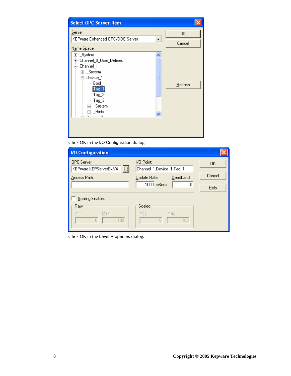| <b>Select OPC Server Item</b>                                                                      |         |
|----------------------------------------------------------------------------------------------------|---------|
| Server:<br>KEPware Enhanced OPC/DDE Server<br>▼                                                    | 0K      |
| N <u>a</u> me Space:                                                                               | Cancel  |
| ⊞≘_System<br>中 Channel_0_User_Defined<br>⊟- Channel_1<br>⊞⊢_System<br>⊟⊹Device_1<br>≣<br>∣— Bool_1 | Refresh |
| $-$ Tag_1<br>$-$ Tag_2<br>$-$ Tag_3<br>由 <sub>"</sub> _System<br>直·_Hints<br>$D = 4 - 2$           |         |
|                                                                                                    |         |

Click OK in the I/O Configuration dialog.

| <b>I/O Configuration</b>                        |                                        |        |
|-------------------------------------------------|----------------------------------------|--------|
| OPC Server:<br>$\Box$<br>KEPware.KEPServerEx.V4 | 1/0 Point:<br>Channel_1.Device_1.Tag_1 | 0K     |
| Access Path:                                    | Deadband:<br>Update Rate:              | Cancel |
|                                                 | $1000$ mSecs<br>0                      | Help   |
| Scaling Enabled                                 |                                        |        |
| Raw                                             | Scaled                                 |        |
| Min:<br>Max:<br>100                             | Min:<br>Max:<br>100                    |        |

Click OK in the Level Properties dialog.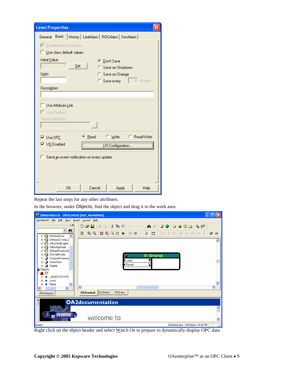| <b>Level Properties</b>                                       |  |
|---------------------------------------------------------------|--|
| History   LimitAlarm   ROCAlarm   DevAlarm  <br>General Basic |  |
| <b>▽</b> Enable Basic Extension<br>Use class default values   |  |
| Initial Value:<br>© Don't Save<br>Set<br>Save on Shutdown     |  |
| Units:<br>Save on Change<br>0 minutes<br>Save every           |  |
| Description:                                                  |  |
|                                                               |  |
| Use Attribute Link                                            |  |
| $\Box$ Link Enabled                                           |  |
| Source Attribute:<br>$\ddotsc$                                |  |
| C Read/Write<br>© Read<br>C Write<br>$\overline{V}$ Use OPC   |  |
| $\nabla$ 1/0 Enabled<br>1/0 Configuration                     |  |
| Send an event notification on every update                    |  |
| <b>OK</b><br>Cancel<br>Apply<br>Help                          |  |

Repeat the last steps for any other attributes.

In the browser, under Objects, find the object and drag it to the work area.



Right click on the object header and select Watch On to prepare to dynamically display OPC data.